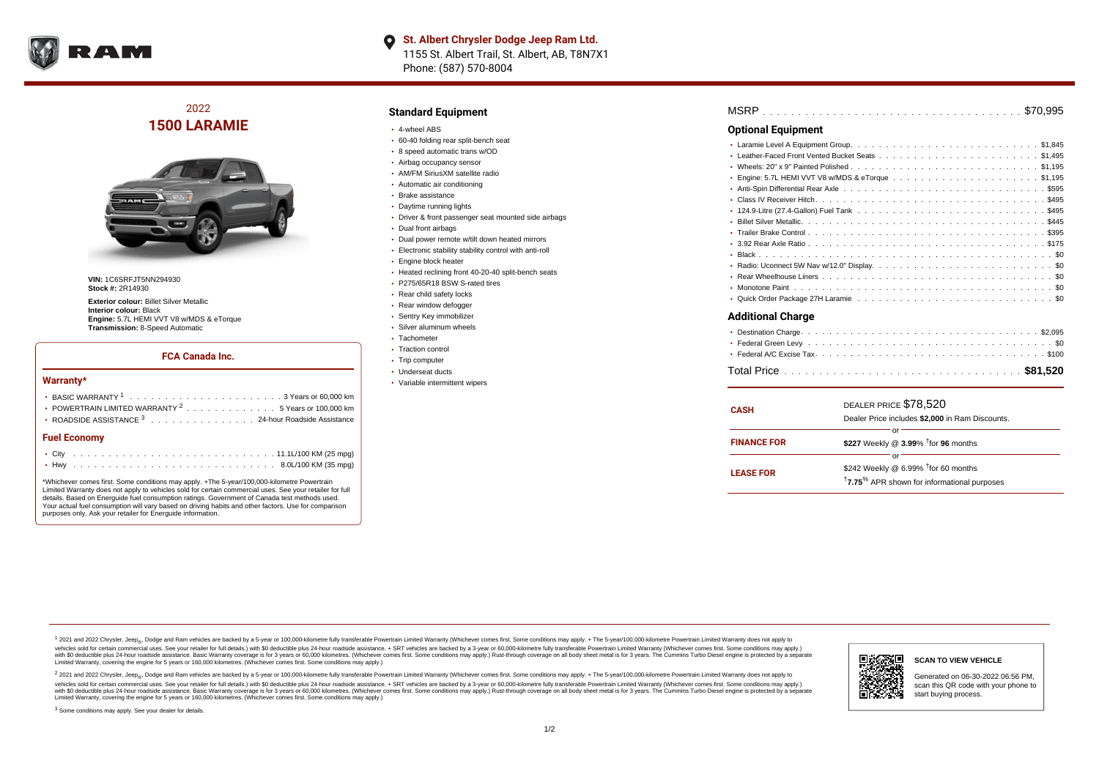

# 2022 **1500 LARAMIE**



**VIN:** 1C6SRFJT5NN294930 **Stock #:** 2R14930

**Exterior colour:** Billet Silver Metallic **Interior colour:** Black **Engine:** 5.7L HEMI VVT V8 w/MDS & eTorque **Transmission:** 8-Speed Automatic

#### **FCA Canada Inc.**

#### **Warranty\***

| <b>Fuel Economy</b>                                                                      |  |  |  |  |  |
|------------------------------------------------------------------------------------------|--|--|--|--|--|
| ROADSIDE ASSISTANCE <sup>3</sup> 24-hour Roadside Assistance                             |  |  |  |  |  |
| • POWERTRAIN LIMITED WARRANTY $2, \ldots, \ldots, \ldots, \ldots, 5$ Years or 100,000 km |  |  |  |  |  |
|                                                                                          |  |  |  |  |  |
|                                                                                          |  |  |  |  |  |

\*Whichever comes first. Some conditions may apply. +The 5-year/100,000-kilometre Powertrain Limited Warranty does not apply to vehicles sold for certain commercial uses. See your retailer for full details. Based on Energuide fuel consumption ratings. Government of Canada test methods used. Your actual fuel consumption will vary based on driving habits and other factors. Use for comparison purposes only. Ask your retailer for Energuide information.

#### **Standard Equipment**

- 4-wheel ABS
- 60-40 folding rear split-bench seat
- 8 speed automatic trans w/OD
- Airbag occupancy sensor
- AM/FM SiriusXM satellite radio Automatic air conditioning
- Brake assistance
- Daytime running lights
- Driver & front passenger seat mounted side airbags
- Dual front airbags
- Dual power remote w/tilt down heated mirrors
- Electronic stability stability control with anti-roll
- Engine block heater
- Heated reclining front 40-20-40 split-bench seats
- P275/65R18 BSW S-rated tires
- Rear child safety locks
- Rear window defogger
- Sentry Key immobilizer
- Silver aluminum wheels
- Tachometer
- Traction control
- Trip computer
- Underseat ducts
- Variable intermittent wipers

## . . . . . . . . . . . . . . . . . . . . . . . . . . . . . . . . . . . . . . . . . . . . . . MSRP \$70,995

#### **Optional Equipment**

### **Additional Charge**

| <b>CASH</b>        | DEALER PRICE \$78,520<br>Dealer Price includes \$2,000 in Ram Discounts. |  |  |  |  |  |  |  |  |  |  |
|--------------------|--------------------------------------------------------------------------|--|--|--|--|--|--|--|--|--|--|
|                    |                                                                          |  |  |  |  |  |  |  |  |  |  |
|                    | or                                                                       |  |  |  |  |  |  |  |  |  |  |
| <b>FINANCE FOR</b> | \$227 Weekly @ 3.99% $†$ for 96 months                                   |  |  |  |  |  |  |  |  |  |  |
|                    | or                                                                       |  |  |  |  |  |  |  |  |  |  |
|                    | \$242 Weekly @ 6.99% $†$ for 60 months                                   |  |  |  |  |  |  |  |  |  |  |
| <b>LEASE FOR</b>   | <sup>†</sup> 7.75 <sup>%</sup> APR shown for informational purposes      |  |  |  |  |  |  |  |  |  |  |

1 2021 and 2022 Chrysler, Jeep<sub>en</sub> Dodge and Ram vehicles are backed by a 5-year or 100,000-kilometre fully transferable Powertrain Limited Warranty (Whichever comes first. Some conditions may apply. + The 5-year/100,000-k vehicles sold for certain commercial uses. See your retailer for full details.) with \$0 deductible plus 24-hour roadside assistance. + SRT vehicles are backed by a 3-year or 60,000-kilometre fully transferable Powertrain L versus and contract the mean of the contract of the contract with a contract with a contract the contract of the search of the contract and a control of the contract and contract and control of the search of the search of Limited Warranty, covering the engine for 5 years or 160,000 kilometres. (Whichever comes first. Some conditions may apply.)

<sup>2</sup> 2021 and 2022 Chrysler, Jeep<sub>®</sub>, Dodge and Ram vehicles are backed by a 5-year or 100,000-kilometre fully transferable Powertrain Limited Warranty (Whichever comes first. Some conditions may apply. + The 5-year/100,000 vehicles sold for certain commercial uses. See your retailer for full details.) with SO deductible plus 24-hour roadside assistance. + SRT vehicles are backed by a 3-year or 60.000-kilometre fully transferable Powertrain L with S0 deductible plus 24-hour roadside assistance. Basic Warranty coverage is for 3 years or 60,000 kilometres. (Whichever comes first. Some conditions may apply.) Rust-through coverage on all body sheet metal is for 3 y



### **SCAN TO VIEW VEHICLE**

Generated on 06-30-2022 06:56 PM, scan this QR code with your phone to start buying process.

<sup>3</sup> Some conditions may apply. See your dealer for details.